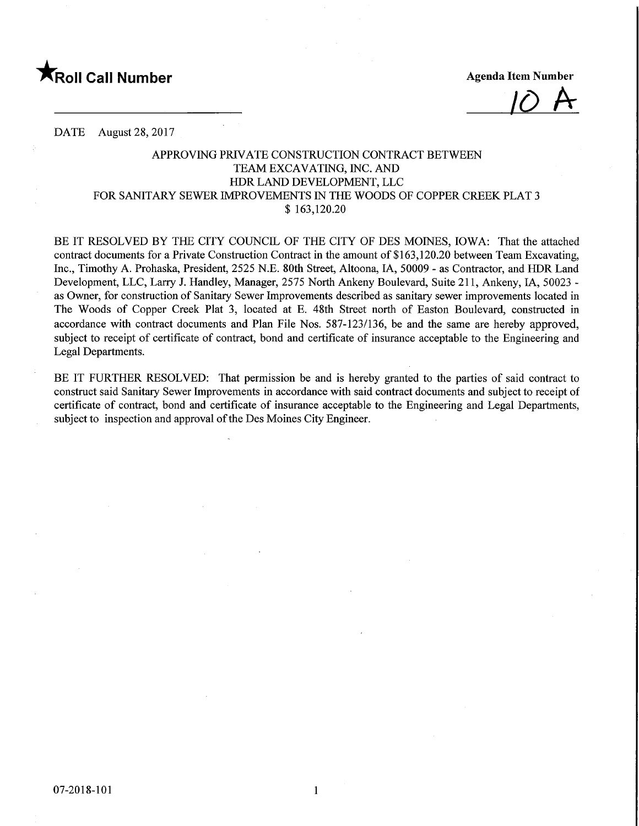

 $10$  A

DATE August 28, 2017

## APPROVING PRIVATE CONSTRUCTION CONTRACT BETWEEN TEAM EXCAVATING, INC. AND HDR LAND DEVELOPMENT, LLC FOR SANITARY SEWER IMPROVEMENTS IN THE WOODS OF COPPER CREEK PLAT 3 \$ 163,120.20

BE IT RESOLVED BY THE CITY COUNCIL OF THE CITY OF DES MOINES, IOWA: That the attached contract documents for a Private Construction Contract in the amount of \$163,120.20 between Team Excavating, Inc., Timothy A. Prohaska, President, 2525 N.E. 80th Street, Altoona, IA, 50009 - as Contractor, and HDR Land Development, LLC, Larry J. Handley, Manager, 2575 North Ankeny Boulevard, Suite 211, Ankeny, IA, 50023 as Owner, for construction of Sanitary Sewer Improvements described as sanitary sewer improvements located in The Woods of Copper Creek Plat 3, located at E. 48th Street north of Easton Boulevard, constructed in accordance with contract documents and Plan File Nos. 587-123/136, be and the same are hereby approved, subject to receipt of certificate of contract, bond and certificate of insurance acceptable to the Engineering and Legal Departments.

BE IT FURTHER RESOLVED: That permission be and is hereby granted to the parties of said contract to construct said Sanitary Sewer Improvements in accordance with said contract documents and subject to receipt of certificate of contract, bond and certificate of insurance acceptable to the Engineering and Legal Departments, subject to inspection and approval of the Des Moines City Engineer.

 $\mathbf{1}$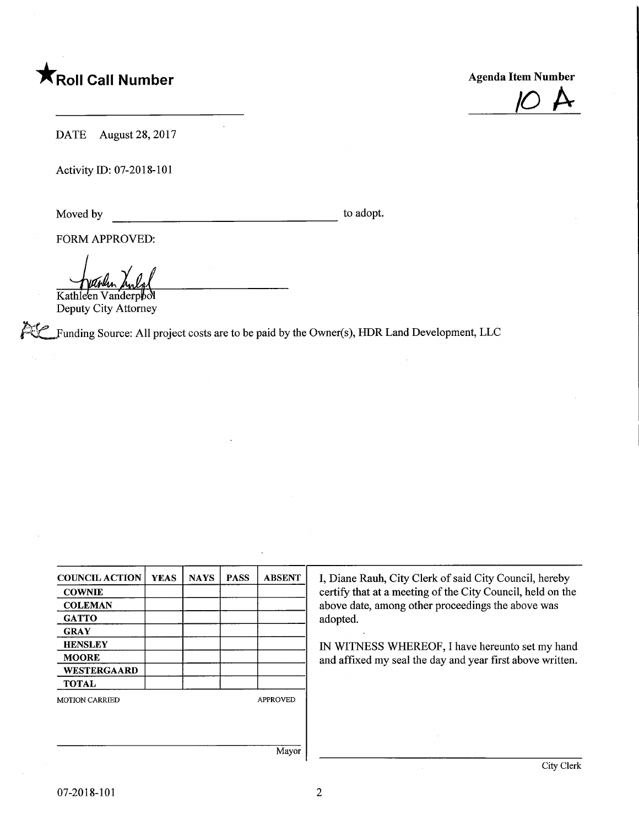



DATE August 28, 2017

Activity ID: 07-2018-101

Moved by to adopt.

FORM APPROVED:

Kathleen Vanderpbol Deputy City Attorney

 $\mathbb{Z}$  Funding Source: All project costs are to be paid by the Owner(s), HDR Land Development, LLC

| <b>COWNIE</b><br><b>COLEMAN</b><br><b>GATTO</b><br><b>GRAY</b><br><b>HENSLEY</b><br><b>MOORE</b><br><b>WESTERGAARD</b><br><b>TOTAL</b> | <b>COUNCIL ACTION</b> | <b>YEAS</b> | <b>NAYS</b> | <b>PASS</b> | <b>ABSENT</b>   |
|----------------------------------------------------------------------------------------------------------------------------------------|-----------------------|-------------|-------------|-------------|-----------------|
|                                                                                                                                        |                       |             |             |             |                 |
|                                                                                                                                        |                       |             |             |             |                 |
|                                                                                                                                        |                       |             |             |             |                 |
|                                                                                                                                        |                       |             |             |             |                 |
|                                                                                                                                        |                       |             |             |             |                 |
|                                                                                                                                        |                       |             |             |             |                 |
|                                                                                                                                        |                       |             |             |             |                 |
|                                                                                                                                        |                       |             |             |             |                 |
|                                                                                                                                        | <b>MOTION CARRIED</b> |             |             |             | <b>APPROVED</b> |

I, Diane Rauh, City Clerk of said City Council, hereby certify that at a meeting of the City Council, held on the above date, among other proceedings the above was adopted.

IN WITNESS WHEREOF, I have hereunto set my hand and affixed my seal the day and year first above written.